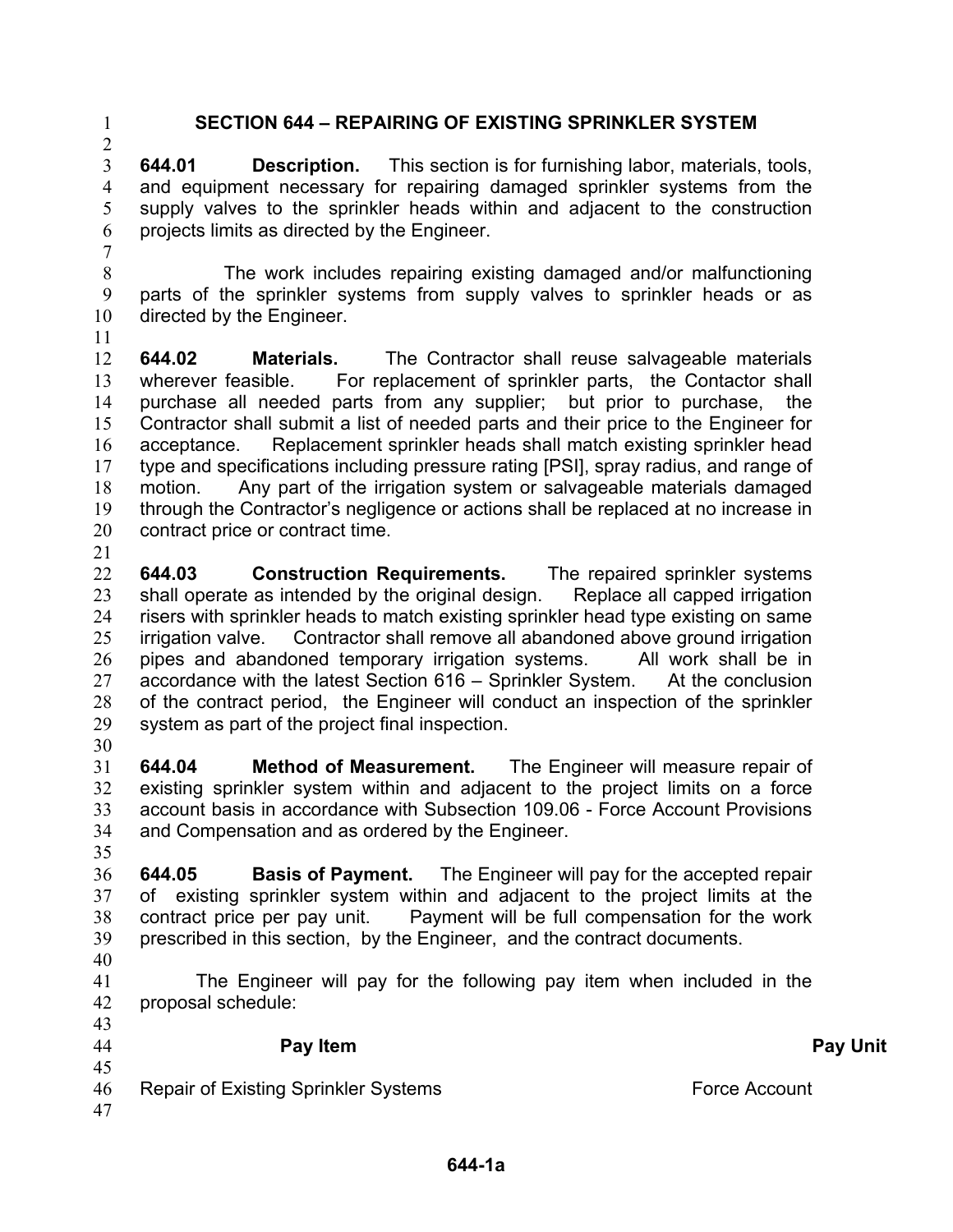$\mathcal{L}$ 

## 1 **SECTION 644 – REPAIRING OF EXISTING SPRINKLER SYSTEM**

3 4 5 6 **644.01 Description.** This section is for furnishing labor, materials, tools, and equipment necessary for repairing damaged sprinkler systems from the supply valves to the sprinkler heads within and adjacent to the construction projects limits as directed by the Engineer.

7

8 9 10 The work includes repairing existing damaged and/or malfunctioning parts of the sprinkler systems from supply valves to sprinkler heads or as directed by the Engineer.

11

12 13 14 15 16 17 18 19 20 21 **644.02 Materials.** The Contractor shall reuse salvageable materials wherever feasible. For replacement of sprinkler parts, the Contactor shall purchase all needed parts from any supplier; but prior to purchase, the Contractor shall submit a list of needed parts and their price to the Engineer for acceptance. Replacement sprinkler heads shall match existing sprinkler head type and specifications including pressure rating [PSI], spray radius, and range of motion. Any part of the irrigation system or salvageable materials damaged through the Contractor's negligence or actions shall be replaced at no increase in contract price or contract time.

22 23 24 25 **644.03 Construction Requirements.** The repaired sprinkler systems shall operate as intended by the original design. Replace all capped irrigation risers with sprinkler heads to match existing sprinkler head type existing on same

26 27 28 29 30 irrigation valve. Contractor shall remove all abandoned above ground irrigation pipes and abandoned temporary irrigation systems. All work shall be in accordance with the latest Section 616 – Sprinkler System. At the conclusion of the contract period, the Engineer will conduct an inspection of the sprinkler system as part of the project final inspection.

31 32 33 34 **644.04 Method of Measurement.** The Engineer will measure repair of existing sprinkler system within and adjacent to the project limits on a force account basis in accordance with Subsection 109.06 - Force Account Provisions and Compensation and as ordered by the Engineer.

35

36 37 38 39 **644.05 Basis of Payment.** The Engineer will pay for the accepted repair of existing sprinkler system within and adjacent to the project limits at the contract price per pay unit. Payment will be full compensation for the work prescribed in this section, by the Engineer, and the contract documents.

40

41 42  $\overline{42}$ The Engineer will pay for the following pay item when included in the proposal schedule:

| $+2$<br>44     | Pay Item                                    | <b>Pay Unit</b> |
|----------------|---------------------------------------------|-----------------|
| 45<br>46<br>47 | <b>Repair of Existing Sprinkler Systems</b> | Force Account   |